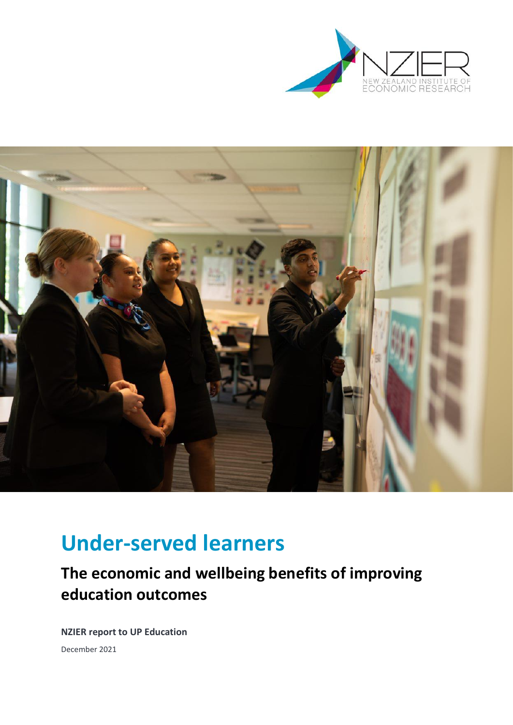



# **Under-served learners**

# **The economic and wellbeing benefits of improving education outcomes**

**NZIER report to UP Education**  December 2021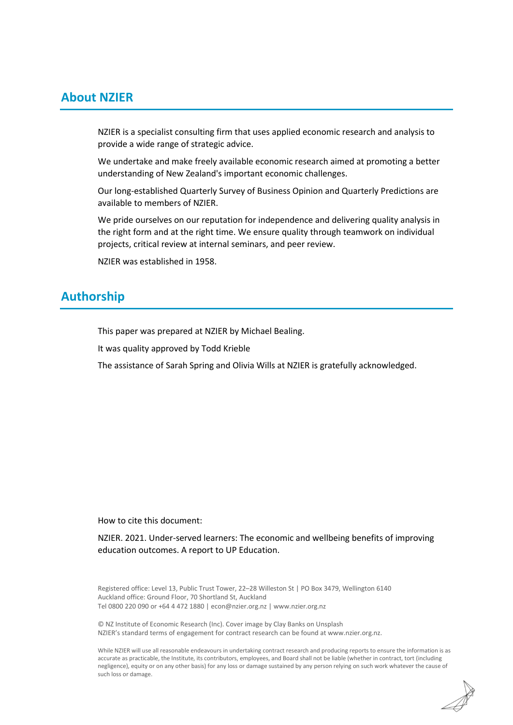# **About NZIER**

NZIER is a specialist consulting firm that uses applied economic research and analysis to provide a wide range of strategic advice.

We undertake and make freely available economic research aimed at promoting a better understanding of New Zealand's important economic challenges.

Our long-established Quarterly Survey of Business Opinion and Quarterly Predictions are available to members of NZIER.

We pride ourselves on our reputation for independence and delivering quality analysis in the right form and at the right time. We ensure quality through teamwork on individual projects, critical review at internal seminars, and peer review.

NZIER was established in 1958.

# **Authorship**

This paper was prepared at NZIER by Michael Bealing.

It was quality approved by Todd Krieble

The assistance of Sarah Spring and Olivia Wills at NZIER is gratefully acknowledged.

How to cite this document:

NZIER. 2021. Under-served learners: The economic and wellbeing benefits of improving education outcomes. A report to UP Education.

Registered office: Level 13, Public Trust Tower, 22–28 Willeston St | PO Box 3479, Wellington 6140 Auckland office: Ground Floor, 70 Shortland St, Auckland Tel 0800 220 090 or +64 4 472 1880 [| econ@nzier.org.nz](mailto:econ@nzier.org.nz) [| www.nzier.org.nz](http://www.nzier.org.nz/)

© NZ Institute of Economic Research (Inc). Cover image b[y Clay Banks](https://unsplash.com/@claybanks?utm_source=unsplash&utm_medium=referral&utm_content=creditCopyText) on [Unsplash](https://unsplash.com/s/photos/education?utm_source=unsplash&utm_medium=referral&utm_content=creditCopyText) NZIER's standard terms of engagement for contract research can be found a[t www.nzier.org.nz.](http://www.nzier.org.nz/)

While NZIER will use all reasonable endeavours in undertaking contract research and producing reports to ensure the information is as accurate as practicable, the Institute, its contributors, employees, and Board shall not be liable (whether in contract, tort (including negligence), equity or on any other basis) for any loss or damage sustained by any person relying on such work whatever the cause of such loss or damage.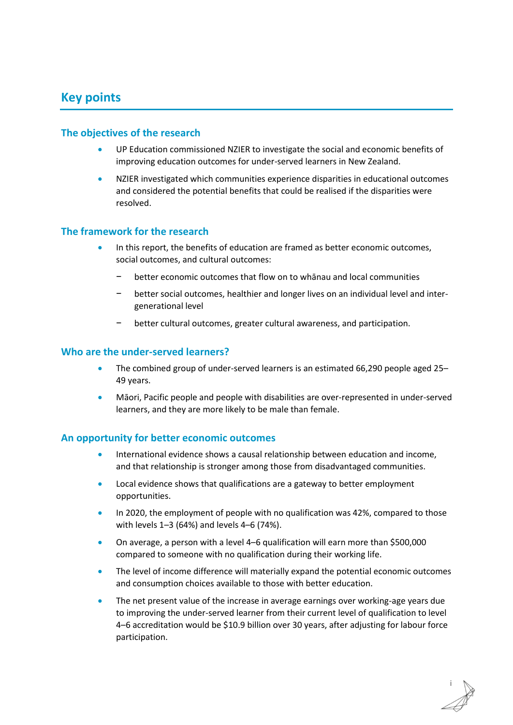# **Key points**

## **The objectives of the research**

- UP Education commissioned NZIER to investigate the social and economic benefits of improving education outcomes for under-served learners in New Zealand.
- NZIER investigated which communities experience disparities in educational outcomes and considered the potential benefits that could be realised if the disparities were resolved.

### **The framework for the research**

- In this report, the benefits of education are framed as better economic outcomes, social outcomes, and cultural outcomes:
	- better economic outcomes that flow on to whānau and local communities
	- − better social outcomes, healthier and longer lives on an individual level and intergenerational level
	- − better cultural outcomes, greater cultural awareness, and participation.

### **Who are the under-served learners?**

- The combined group of under-served learners is an estimated 66,290 people aged 25– 49 years.
- Māori, Pacific people and people with disabilities are over-represented in under-served learners, and they are more likely to be male than female.

### **An opportunity for better economic outcomes**

- International evidence shows a causal relationship between education and income, and that relationship is stronger among those from disadvantaged communities.
- Local evidence shows that qualifications are a gateway to better employment opportunities.
- In 2020, the employment of people with no qualification was 42%, compared to those with levels 1–3 (64%) and levels 4–6 (74%).
- On average, a person with a level 4–6 qualification will earn more than \$500,000 compared to someone with no qualification during their working life.
- The level of income difference will materially expand the potential economic outcomes and consumption choices available to those with better education.
- The net present value of the increase in average earnings over working-age years due to improving the under-served learner from their current level of qualification to level 4–6 accreditation would be \$10.9 billion over 30 years, after adjusting for labour force participation.

i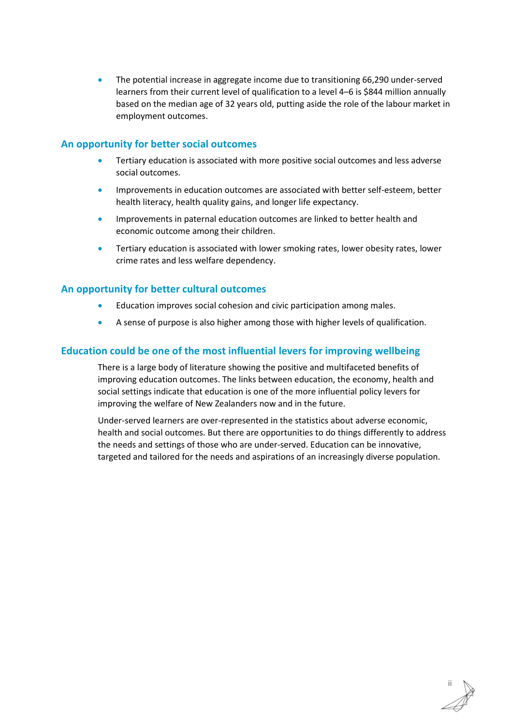The potential increase in aggregate income due to transitioning 66,290 under-served learners from their current level of qualification to a level 4–6 is \$844 million annually based on the median age of 32 years old, putting aside the role of the labour market in employment outcomes.

# **An opportunity for better social outcomes**

- Tertiary education is associated with more positive social outcomes and less adverse social outcomes.
- Improvements in education outcomes are associated with better self-esteem, better health literacy, health quality gains, and longer life expectancy.
- Improvements in paternal education outcomes are linked to better health and economic outcome among their children.
- Tertiary education is associated with lower smoking rates, lower obesity rates, lower crime rates and less welfare dependency.

# **An opportunity for better cultural outcomes**

- Education improves social cohesion and civic participation among males.
- A sense of purpose is also higher among those with higher levels of qualification.

# **Education could be one of the most influential levers for improving wellbeing**

There is a large body of literature showing the positive and multifaceted benefits of improving education outcomes. The links between education, the economy, health and social settings indicate that education is one of the more influential policy levers for improving the welfare of New Zealanders now and in the future.

Under-served learners are over-represented in the statistics about adverse economic, health and social outcomes. But there are opportunities to do things differently to address the needs and settings of those who are under-served. Education can be innovative, targeted and tailored for the needs and aspirations of an increasingly diverse population.

ii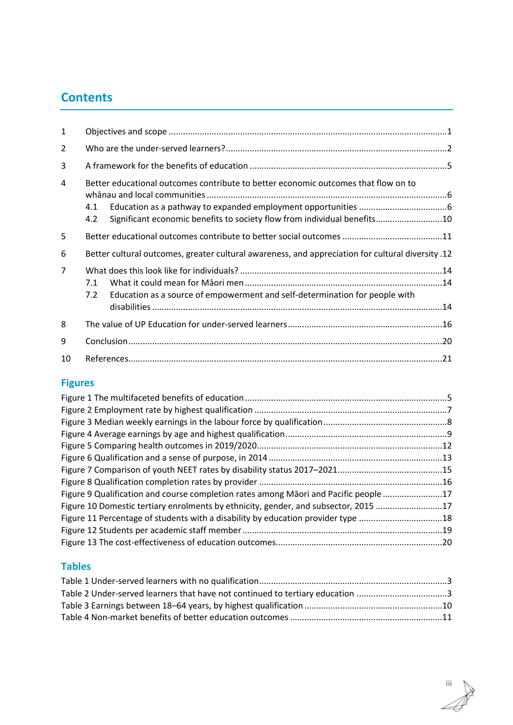# **Contents**

| 1              |                                                                                                                                                                              |  |  |
|----------------|------------------------------------------------------------------------------------------------------------------------------------------------------------------------------|--|--|
| 2              |                                                                                                                                                                              |  |  |
| 3              |                                                                                                                                                                              |  |  |
| 4              | Better educational outcomes contribute to better economic outcomes that flow on to<br>4.1<br>Significant economic benefits to society flow from individual benefits10<br>4.2 |  |  |
| 5              |                                                                                                                                                                              |  |  |
| 6              | 12. Better cultural outcomes, greater cultural awareness, and appreciation for cultural diversity                                                                            |  |  |
| $\overline{7}$ | 7.1<br>Education as a source of empowerment and self-determination for people with<br>7.2                                                                                    |  |  |
| 8              |                                                                                                                                                                              |  |  |
| 9              |                                                                                                                                                                              |  |  |
| 10             |                                                                                                                                                                              |  |  |

# **Figures**

| Figure 9 Qualification and course completion rates among Māori and Pacific people 17 |  |
|--------------------------------------------------------------------------------------|--|
| Figure 10 Domestic tertiary enrolments by ethnicity, gender, and subsector, 2015 17  |  |
| Figure 11 Percentage of students with a disability by education provider type 18     |  |
|                                                                                      |  |
|                                                                                      |  |

# **Tables**

| Table 2 Under-served learners that have not continued to tertiary education 3 |  |
|-------------------------------------------------------------------------------|--|
|                                                                               |  |
|                                                                               |  |

iii Æ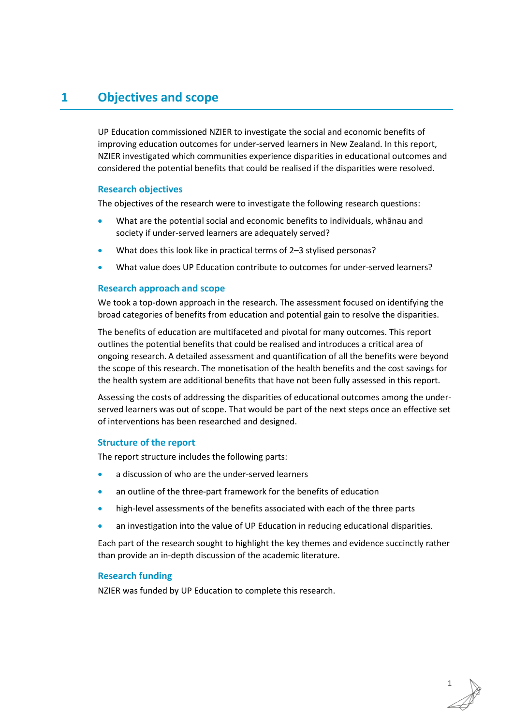# <span id="page-6-0"></span>**1 Objectives and scope**

UP Education commissioned NZIER to investigate the social and economic benefits of improving education outcomes for under-served learners in New Zealand. In this report, NZIER investigated which communities experience disparities in educational outcomes and considered the potential benefits that could be realised if the disparities were resolved.

### **Research objectives**

The objectives of the research were to investigate the following research questions:

- What are the potential social and economic benefits to individuals, whānau and society if under-served learners are adequately served?
- What does this look like in practical terms of 2–3 stylised personas?
- What value does UP Education contribute to outcomes for under-served learners?

#### **Research approach and scope**

We took a top-down approach in the research. The assessment focused on identifying the broad categories of benefits from education and potential gain to resolve the disparities.

The benefits of education are multifaceted and pivotal for many outcomes. This report outlines the potential benefits that could be realised and introduces a critical area of ongoing research. A detailed assessment and quantification of all the benefits were beyond the scope of this research. The monetisation of the health benefits and the cost savings for the health system are additional benefits that have not been fully assessed in this report.

Assessing the costs of addressing the disparities of educational outcomes among the underserved learners was out of scope. That would be part of the next steps once an effective set of interventions has been researched and designed.

#### **Structure of the report**

The report structure includes the following parts:

- a discussion of who are the under-served learners
- an outline of the three-part framework for the benefits of education
- high-level assessments of the benefits associated with each of the three parts
- an investigation into the value of UP Education in reducing educational disparities.

Each part of the research sought to highlight the key themes and evidence succinctly rather than provide an in-depth discussion of the academic literature.

#### **Research funding**

NZIER was funded by UP Education to complete this research.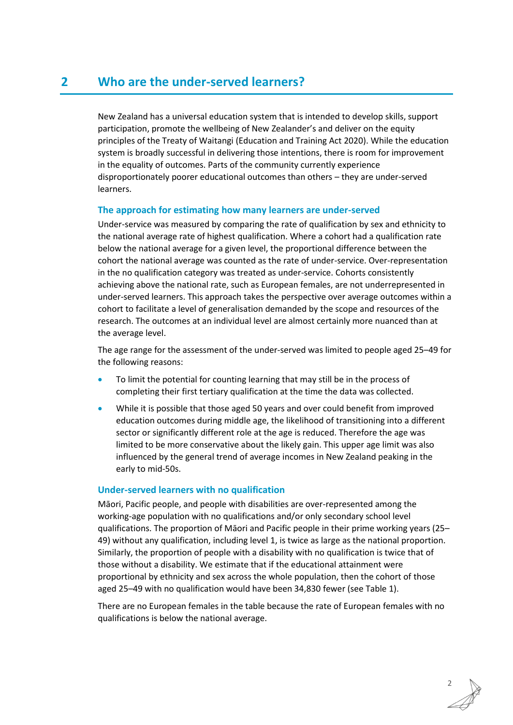<span id="page-7-0"></span>New Zealand has a universal education system that is intended to develop skills, support participation, promote the wellbeing of New Zealander's and deliver on the equity principles of the Treaty of Waitangi (Education and Training Act 2020). While the education system is broadly successful in delivering those intentions, there is room for improvement in the equality of outcomes. Parts of the community currently experience disproportionately poorer educational outcomes than others – they are under-served learners.

# **The approach for estimating how many learners are under-served**

Under-service was measured by comparing the rate of qualification by sex and ethnicity to the national average rate of highest qualification. Where a cohort had a qualification rate below the national average for a given level, the proportional difference between the cohort the national average was counted as the rate of under-service. Over-representation in the no qualification category was treated as under-service. Cohorts consistently achieving above the national rate, such as European females, are not underrepresented in under-served learners. This approach takes the perspective over average outcomes within a cohort to facilitate a level of generalisation demanded by the scope and resources of the research. The outcomes at an individual level are almost certainly more nuanced than at the average level.

The age range for the assessment of the under-served was limited to people aged 25–49 for the following reasons:

- To limit the potential for counting learning that may still be in the process of completing their first tertiary qualification at the time the data was collected.
- While it is possible that those aged 50 years and over could benefit from improved education outcomes during middle age, the likelihood of transitioning into a different sector or significantly different role at the age is reduced. Therefore the age was limited to be more conservative about the likely gain. This upper age limit was also influenced by the general trend of average incomes in New Zealand peaking in the early to mid-50s.

# **Under-served learners with no qualification**

Māori, Pacific people, and people with disabilities are over-represented among the working-age population with no qualifications and/or only secondary school level qualifications. The proportion of Māori and Pacific people in their prime working years (25– 49) without any qualification, including level 1, is twice as large as the national proportion. Similarly, the proportion of people with a disability with no qualification is twice that of those without a disability. We estimate that if the educational attainment were proportional by ethnicity and sex across the whole population, then the cohort of those aged 25–49 with no qualification would have been 34,830 fewer (see [Table 1\)](#page-8-0).

There are no European females in the table because the rate of European females with no qualifications is below the national average.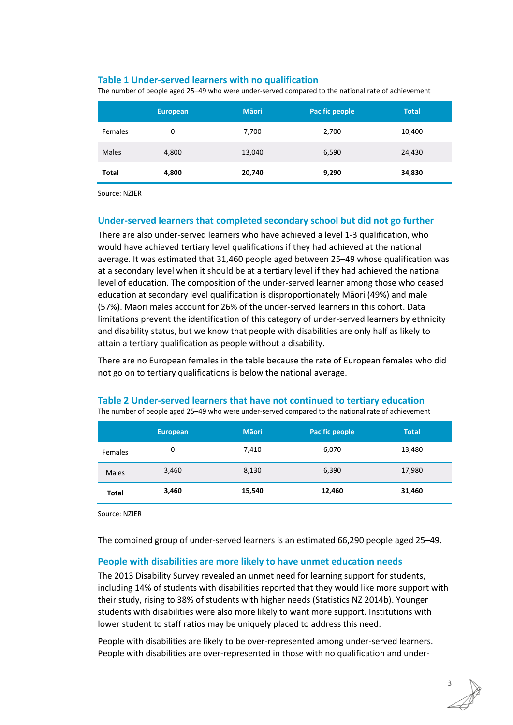## <span id="page-8-0"></span>**Table 1 Under-served learners with no qualification**

The number of people aged 25–49 who were under-served compared to the national rate of achievement

|              | <b>European</b> | <b>M</b> aori | <b>Pacific people</b> | <b>Total</b> |
|--------------|-----------------|---------------|-----------------------|--------------|
| Females      | 0               | 7,700         | 2,700                 | 10,400       |
| <b>Males</b> | 4,800           | 13,040        | 6,590                 | 24,430       |
| Total        | 4,800           | 20,740        | 9,290                 | 34,830       |

Source: NZIER

### **Under-served learners that completed secondary school but did not go further**

There are also under-served learners who have achieved a level 1-3 qualification, who would have achieved tertiary level qualifications if they had achieved at the national average. It was estimated that 31,460 people aged between 25–49 whose qualification was at a secondary level when it should be at a tertiary level if they had achieved the national level of education. The composition of the under-served learner among those who ceased education at secondary level qualification is disproportionately Māori (49%) and male (57%). Māori males account for 26% of the under-served learners in this cohort. Data limitations prevent the identification of this category of under-served learners by ethnicity and disability status, but we know that people with disabilities are only half as likely to attain a tertiary qualification as people without a disability.

There are no European females in the table because the rate of European females who did not go on to tertiary qualifications is below the national average.

|              | European | <b>M</b> aori | <b>Pacific people</b> | <b>Total</b> |
|--------------|----------|---------------|-----------------------|--------------|
| Females      | 0        | 7,410         | 6,070                 | 13,480       |
| <b>Males</b> | 3,460    | 8,130         | 6,390                 | 17,980       |
| Total        | 3,460    | 15,540        | 12,460                | 31,460       |

<span id="page-8-1"></span>**Table 2 Under-served learners that have not continued to tertiary education**  The number of people aged 25–49 who were under-served compared to the national rate of achievement

Source: NZIER

The combined group of under-served learners is an estimated 66,290 people aged 25–49.

### **People with disabilities are more likely to have unmet education needs**

The 2013 Disability Survey revealed an unmet need for learning support for students, including 14% of students with disabilities reported that they would like more support with their study, rising to 38% of students with higher needs (Statistics NZ 2014b). Younger students with disabilities were also more likely to want more support. Institutions with lower student to staff ratios may be uniquely placed to address this need.

People with disabilities are likely to be over-represented among under-served learners. People with disabilities are over-represented in those with no qualification and under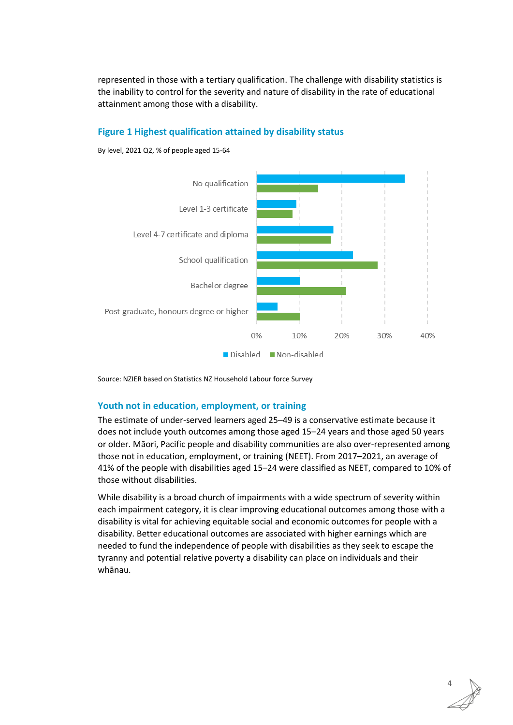represented in those with a tertiary qualification. The challenge with disability statistics is the inability to control for the severity and nature of disability in the rate of educational attainment among those with a disability.

# **Figure 1 Highest qualification attained by disability status**



By level, 2021 Q2, % of people aged 15-64

Source: NZIER based on Statistics NZ Household Labour force Survey

### **Youth not in education, employment, or training**

The estimate of under-served learners aged 25–49 is a conservative estimate because it does not include youth outcomes among those aged 15–24 years and those aged 50 years or older. Māori, Pacific people and disability communities are also over-represented among those not in education, employment, or training (NEET). From 2017–2021, an average of 41% of the people with disabilities aged 15–24 were classified as NEET, compared to 10% of those without disabilities.

While disability is a broad church of impairments with a wide spectrum of severity within each impairment category, it is clear improving educational outcomes among those with a disability is vital for achieving equitable social and economic outcomes for people with a disability. Better educational outcomes are associated with higher earnings which are needed to fund the independence of people with disabilities as they seek to escape the tyranny and potential relative poverty a disability can place on individuals and their whānau.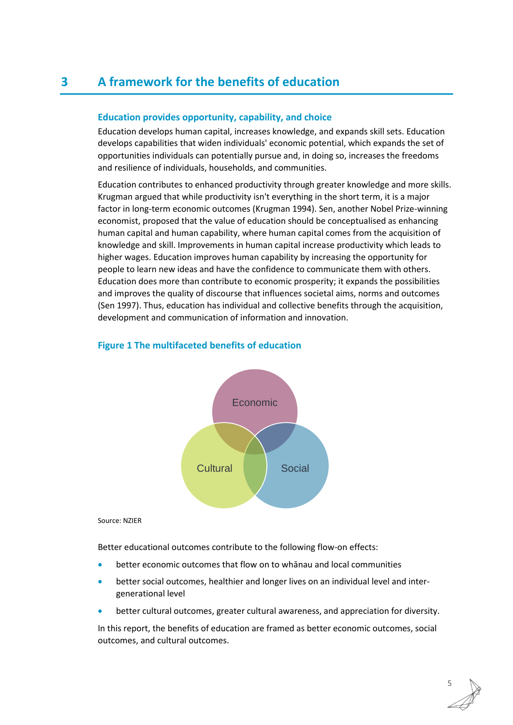# <span id="page-10-0"></span>**3 A framework for the benefits of education**

### **Education provides opportunity, capability, and choice**

Education develops human capital, increases knowledge, and expands skill sets. Education develops capabilities that widen individuals' economic potential, which expands the set of opportunities individuals can potentially pursue and, in doing so, increases the freedoms and resilience of individuals, households, and communities.

Education contributes to enhanced productivity through greater knowledge and more skills. Krugman argued that while productivity isn't everything in the short term, it is a major factor in long-term economic outcomes (Krugman 1994). Sen, another Nobel Prize-winning economist, proposed that the value of education should be conceptualised as enhancing human capital and human capability, where human capital comes from the acquisition of knowledge and skill. Improvements in human capital increase productivity which leads to higher wages. Education improves human capability by increasing the opportunity for people to learn new ideas and have the confidence to communicate them with others. Education does more than contribute to economic prosperity; it expands the possibilities and improves the quality of discourse that influences societal aims, norms and outcomes (Sen 1997). Thus, education has individual and collective benefits through the acquisition, development and communication of information and innovation.



#### <span id="page-10-1"></span>**Figure 1 The multifaceted benefits of education**

#### Source: NZIER

Better educational outcomes contribute to the following flow-on effects:

- better economic outcomes that flow on to whānau and local communities
- better social outcomes, healthier and longer lives on an individual level and intergenerational level
- better cultural outcomes, greater cultural awareness, and appreciation for diversity.

In this report, the benefits of education are framed as better economic outcomes, social outcomes, and cultural outcomes.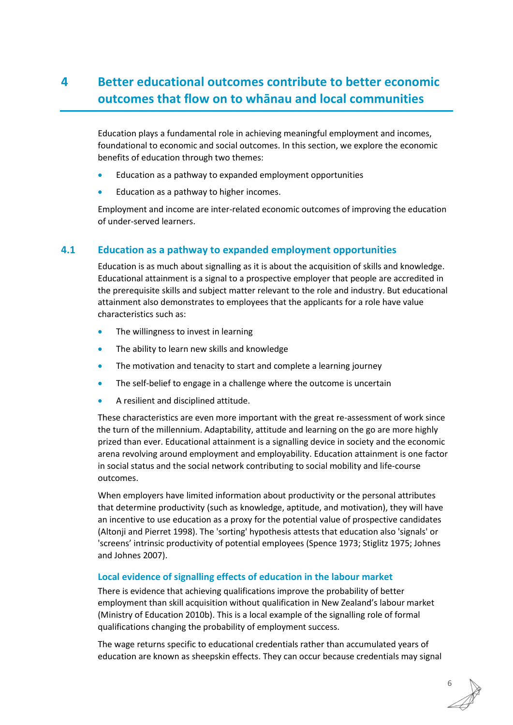# <span id="page-11-0"></span>**4 Better educational outcomes contribute to better economic outcomes that flow on to whānau and local communities**

Education plays a fundamental role in achieving meaningful employment and incomes, foundational to economic and social outcomes. In this section, we explore the economic benefits of education through two themes:

- Education as a pathway to expanded employment opportunities
- Education as a pathway to higher incomes.

Employment and income are inter-related economic outcomes of improving the education of under-served learners.

# <span id="page-11-1"></span>**4.1 Education as a pathway to expanded employment opportunities**

Education is as much about signalling as it is about the acquisition of skills and knowledge. Educational attainment is a signal to a prospective employer that people are accredited in the prerequisite skills and subject matter relevant to the role and industry. But educational attainment also demonstrates to employees that the applicants for a role have value characteristics such as:

- The willingness to invest in learning
- The ability to learn new skills and knowledge
- The motivation and tenacity to start and complete a learning journey
- The self-belief to engage in a challenge where the outcome is uncertain
- A resilient and disciplined attitude.

These characteristics are even more important with the great re-assessment of work since the turn of the millennium. Adaptability, attitude and learning on the go are more highly prized than ever. Educational attainment is a signalling device in society and the economic arena revolving around employment and employability. Education attainment is one factor in social status and the social network contributing to social mobility and life-course outcomes.

When employers have limited information about productivity or the personal attributes that determine productivity (such as knowledge, aptitude, and motivation), they will have an incentive to use education as a proxy for the potential value of prospective candidates (Altonji and Pierret 1998). The 'sorting' hypothesis attests that education also 'signals' or 'screens' intrinsic productivity of potential employees (Spence 1973; Stiglitz 1975; Johnes and Johnes 2007).

### **Local evidence of signalling effects of education in the labour market**

There is evidence that achieving qualifications improve the probability of better employment than skill acquisition without qualification in New Zealand's labour market (Ministry of Education 2010b). This is a local example of the signalling role of formal qualifications changing the probability of employment success.

The wage returns specific to educational credentials rather than accumulated years of education are known as sheepskin effects. They can occur because credentials may signal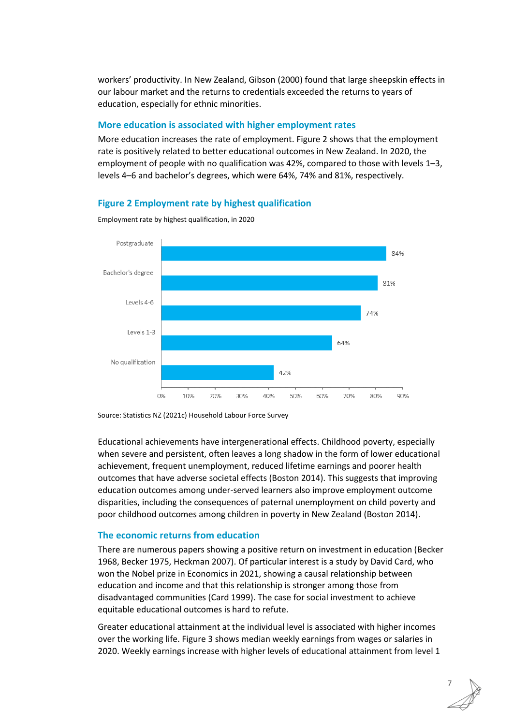workers' productivity. In New Zealand, Gibson (2000) found that large sheepskin effects in our labour market and the returns to credentials exceeded the returns to years of education, especially for ethnic minorities.

### **More education is associated with higher employment rates**

More education increases the rate of employment. [Figure](#page-12-0) 2 shows that the employment rate is positively related to better educational outcomes in New Zealand. In 2020, the employment of people with no qualification was 42%, compared to those with levels 1–3, levels 4–6 and bachelor's degrees, which were 64%, 74% and 81%, respectively.

# <span id="page-12-0"></span>**Figure 2 Employment rate by highest qualification**



Employment rate by highest qualification, in 2020

Source: Statistics NZ (2021c) Household Labour Force Survey

Educational achievements have intergenerational effects. Childhood poverty, especially when severe and persistent, often leaves a long shadow in the form of lower educational achievement, frequent unemployment, reduced lifetime earnings and poorer health outcomes that have adverse societal effects (Boston 2014). This suggests that improving education outcomes among under-served learners also improve employment outcome disparities, including the consequences of paternal unemployment on child poverty and poor childhood outcomes among children in poverty in New Zealand (Boston 2014).

### **The economic returns from education**

There are numerous papers showing a positive return on investment in education (Becker 1968, Becker 1975, Heckman 2007). Of particular interest is a study by David Card, who won the Nobel prize in Economics in 2021, showing a causal relationship between education and income and that this relationship is stronger among those from disadvantaged communities (Card 1999). The case for social investment to achieve equitable educational outcomes is hard to refute.

Greater educational attainment at the individual level is associated with higher incomes over the working life. [Figure](#page-13-0) 3 shows median weekly earnings from wages or salaries in 2020. Weekly earnings increase with higher levels of educational attainment from level 1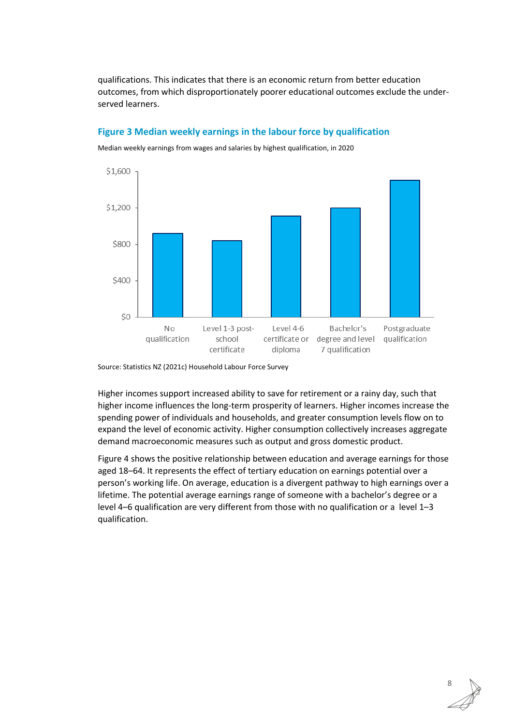qualifications. This indicates that there is an economic return from better education outcomes, from which disproportionately poorer educational outcomes exclude the underserved learners.

# <span id="page-13-0"></span>**Figure 3 Median weekly earnings in the labour force by qualification**



Median weekly earnings from wages and salaries by highest qualification, in 2020

Source: Statistics NZ (2021c) Household Labour Force Survey

Higher incomes support increased ability to save for retirement or a rainy day, such that higher income influences the long-term prosperity of learners. Higher incomes increase the spending power of individuals and households, and greater consumption levels flow on to expand the level of economic activity. Higher consumption collectively increases aggregate demand macroeconomic measures such as output and gross domestic product.

[Figure](#page-14-0) 4 shows the positive relationship between education and average earnings for those aged 18–64. It represents the effect of tertiary education on earnings potential over a person's working life. On average, education is a divergent pathway to high earnings over a lifetime. The potential average earnings range of someone with a bachelor's degree or a level 4–6 qualification are very different from those with no qualification or a level 1–3 qualification.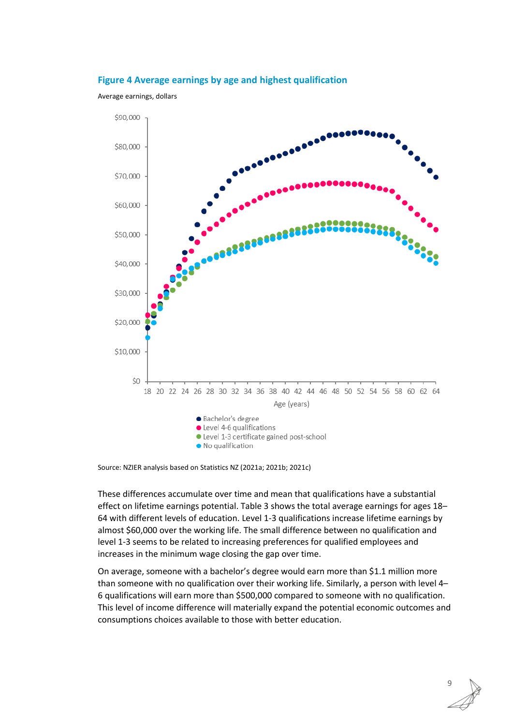#### <span id="page-14-0"></span>**Figure 4 Average earnings by age and highest qualification**

Average earnings, dollars



Source: NZIER analysis based on Statistics NZ (2021a; 2021b; 2021c)

These differences accumulate over time and mean that qualifications have a substantial effect on lifetime earnings potential[. Table 3](#page-15-1) shows the total average earnings for ages 18– 64 with different levels of education. Level 1-3 qualifications increase lifetime earnings by almost \$60,000 over the working life. The small difference between no qualification and level 1-3 seems to be related to increasing preferences for qualified employees and increases in the minimum wage closing the gap over time.

On average, someone with a bachelor's degree would earn more than \$1.1 million more than someone with no qualification over their working life. Similarly, a person with level 4– 6 qualifications will earn more than \$500,000 compared to someone with no qualification. This level of income difference will materially expand the potential economic outcomes and consumptions choices available to those with better education.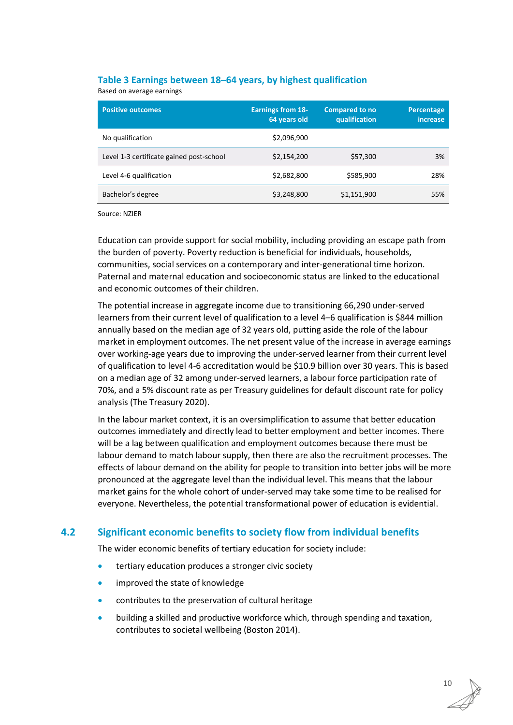## <span id="page-15-1"></span>**Table 3 Earnings between 18–64 years, by highest qualification**

Based on average earnings

| <b>Positive outcomes</b>                 | <b>Earnings from 18-</b><br>64 years old | <b>Compared to no</b><br>qualification | Percentage<br><i>increase</i> |
|------------------------------------------|------------------------------------------|----------------------------------------|-------------------------------|
| No qualification                         | \$2,096,900                              |                                        |                               |
| Level 1-3 certificate gained post-school | \$2,154,200                              | \$57,300                               | 3%                            |
| Level 4-6 qualification                  | \$2,682,800                              | \$585,900                              | 28%                           |
| Bachelor's degree                        | \$3,248,800                              | \$1,151,900                            | 55%                           |

Source: NZIER

Education can provide support for social mobility, including providing an escape path from the burden of poverty. Poverty reduction is beneficial for individuals, households, communities, social services on a contemporary and inter-generational time horizon. Paternal and maternal education and socioeconomic status are linked to the educational and economic outcomes of their children.

The potential increase in aggregate income due to transitioning 66,290 under-served learners from their current level of qualification to a level 4–6 qualification is \$844 million annually based on the median age of 32 years old, putting aside the role of the labour market in employment outcomes. The net present value of the increase in average earnings over working-age years due to improving the under-served learner from their current level of qualification to level 4-6 accreditation would be \$10.9 billion over 30 years. This is based on a median age of 32 among under-served learners, a labour force participation rate of 70%, and a 5% discount rate as per Treasury guidelines for default discount rate for policy analysis (The Treasury 2020).

In the labour market context, it is an oversimplification to assume that better education outcomes immediately and directly lead to better employment and better incomes. There will be a lag between qualification and employment outcomes because there must be labour demand to match labour supply, then there are also the recruitment processes. The effects of labour demand on the ability for people to transition into better jobs will be more pronounced at the aggregate level than the individual level. This means that the labour market gains for the whole cohort of under-served may take some time to be realised for everyone. Nevertheless, the potential transformational power of education is evidential.

# <span id="page-15-0"></span>**4.2 Significant economic benefits to society flow from individual benefits**

The wider economic benefits of tertiary education for society include:

- tertiary education produces a stronger civic society
- improved the state of knowledge
- contributes to the preservation of cultural heritage
- building a skilled and productive workforce which, through spending and taxation, contributes to societal wellbeing (Boston 2014).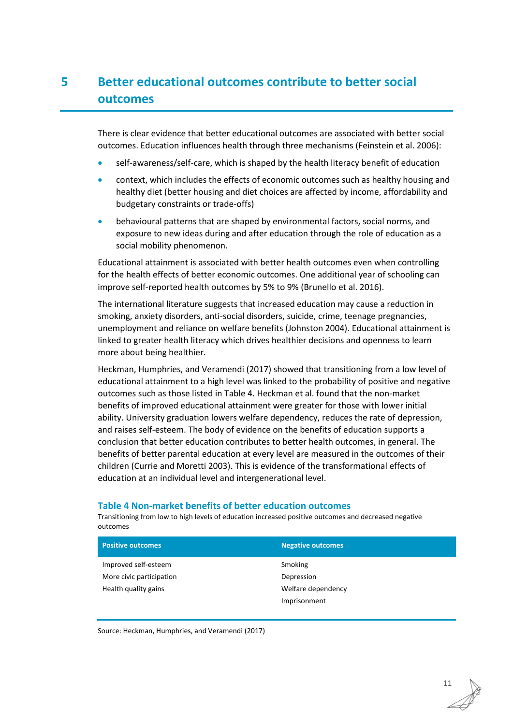# <span id="page-16-0"></span>**5 Better educational outcomes contribute to better social outcomes**

There is clear evidence that better educational outcomes are associated with better social outcomes. Education influences health through three mechanisms (Feinstein et al. 2006):

- self-awareness/self-care, which is shaped by the health literacy benefit of education
- context, which includes the effects of economic outcomes such as healthy housing and healthy diet (better housing and diet choices are affected by income, affordability and budgetary constraints or trade-offs)
- behavioural patterns that are shaped by environmental factors, social norms, and exposure to new ideas during and after education through the role of education as a social mobility phenomenon.

Educational attainment is associated with better health outcomes even when controlling for the health effects of better economic outcomes. One additional year of schooling can improve self-reported health outcomes by 5% to 9% (Brunello et al. 2016).

The international literature suggests that increased education may cause a reduction in smoking, anxiety disorders, anti-social disorders, suicide, crime, teenage pregnancies, unemployment and reliance on welfare benefits (Johnston 2004). Educational attainment is linked to greater health literacy which drives healthier decisions and openness to learn more about being healthier.

Heckman, Humphries, and Veramendi (2017) showed that transitioning from a low level of educational attainment to a high level was linked to the probability of positive and negative outcomes such as those listed i[n Table 4.](#page-16-1) Heckman et al. found that the non-market benefits of improved educational attainment were greater for those with lower initial ability. University graduation lowers welfare dependency, reduces the rate of depression, and raises self-esteem. The body of evidence on the benefits of education supports a conclusion that better education contributes to better health outcomes, in general. The benefits of better parental education at every level are measured in the outcomes of their children (Currie and Moretti 2003). This is evidence of the transformational effects of education at an individual level and intergenerational level.

#### <span id="page-16-1"></span>**Table 4 Non-market benefits of better education outcomes**

Transitioning from low to high levels of education increased positive outcomes and decreased negative outcomes

| <b>Positive outcomes</b> | <b>Negative outcomes</b> |
|--------------------------|--------------------------|
| Improved self-esteem     | Smoking                  |
| More civic participation | Depression               |
| Health quality gains     | Welfare dependency       |
|                          | Imprisonment             |

Source: Heckman, Humphries, and Veramendi (2017)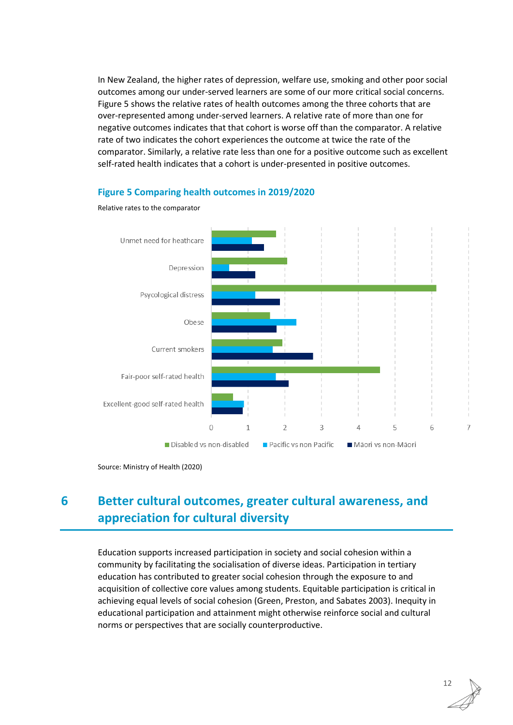In New Zealand, the higher rates of depression, welfare use, smoking and other poor social outcomes among our under-served learners are some of our more critical social concerns. [Figure](#page-17-1) 5 shows the relative rates of health outcomes among the three cohorts that are over-represented among under-served learners. A relative rate of more than one for negative outcomes indicates that that cohort is worse off than the comparator. A relative rate of two indicates the cohort experiences the outcome at twice the rate of the comparator. Similarly, a relative rate less than one for a positive outcome such as excellent self-rated health indicates that a cohort is under-presented in positive outcomes.

<span id="page-17-1"></span>

#### **Figure 5 Comparing health outcomes in 2019/2020**

# <span id="page-17-0"></span>**6 Better cultural outcomes, greater cultural awareness, and appreciation for cultural diversity**

Education supports increased participation in society and social cohesion within a community by facilitating the socialisation of diverse ideas. Participation in tertiary education has contributed to greater social cohesion through the exposure to and acquisition of collective core values among students. Equitable participation is critical in achieving equal levels of social cohesion (Green, Preston, and Sabates 2003). Inequity in educational participation and attainment might otherwise reinforce social and cultural norms or perspectives that are socially counterproductive.

Source: Ministry of Health (2020)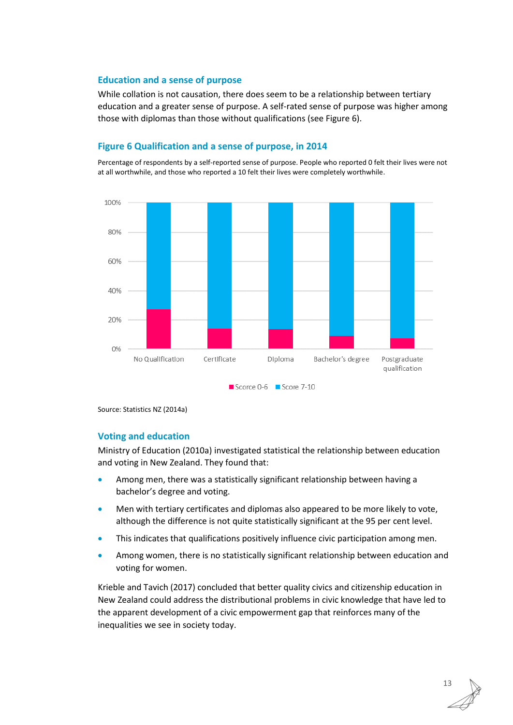#### **Education and a sense of purpose**

While collation is not causation, there does seem to be a relationship between tertiary education and a greater sense of purpose. A self-rated sense of purpose was higher among those with diplomas than those without qualifications (see [Figure](#page-18-0) 6).

#### <span id="page-18-0"></span>**Figure 6 Qualification and a sense of purpose, in 2014**

Percentage of respondents by a self-reported sense of purpose. People who reported 0 felt their lives were not at all worthwhile, and those who reported a 10 felt their lives were completely worthwhile.



Source: Statistics NZ (2014a)

#### **Voting and education**

Ministry of Education (2010a) investigated statistical the relationship between education and voting in New Zealand. They found that:

- Among men, there was a statistically significant relationship between having a bachelor's degree and voting.
- Men with tertiary certificates and diplomas also appeared to be more likely to vote, although the difference is not quite statistically significant at the 95 per cent level.
- This indicates that qualifications positively influence civic participation among men.
- Among women, there is no statistically significant relationship between education and voting for women.

Krieble and Tavich (2017) concluded that better quality civics and citizenship education in New Zealand could address the distributional problems in civic knowledge that have led to the apparent development of a civic empowerment gap that reinforces many of the inequalities we see in society today.

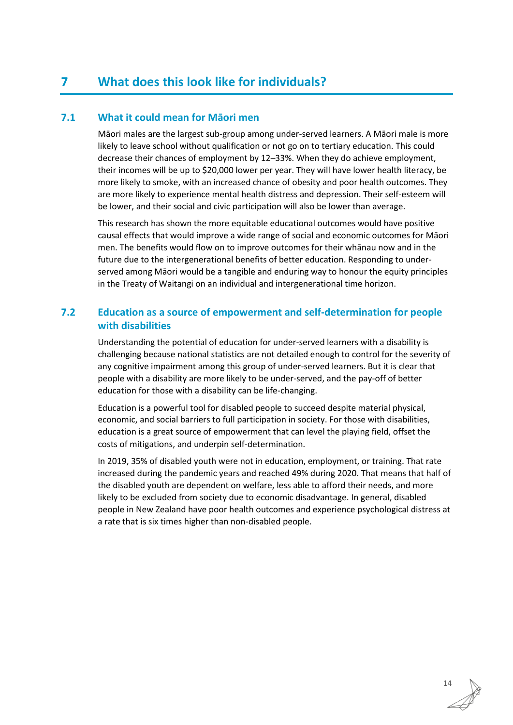# <span id="page-19-0"></span>**7 What does this look like for individuals?**

# <span id="page-19-1"></span>**7.1 What it could mean for Māori men**

Māori males are the largest sub-group among under-served learners. A Māori male is more likely to leave school without qualification or not go on to tertiary education. This could decrease their chances of employment by 12–33%. When they do achieve employment, their incomes will be up to \$20,000 lower per year. They will have lower health literacy, be more likely to smoke, with an increased chance of obesity and poor health outcomes. They are more likely to experience mental health distress and depression. Their self-esteem will be lower, and their social and civic participation will also be lower than average.

This research has shown the more equitable educational outcomes would have positive causal effects that would improve a wide range of social and economic outcomes for Māori men. The benefits would flow on to improve outcomes for their whānau now and in the future due to the intergenerational benefits of better education. Responding to underserved among Māori would be a tangible and enduring way to honour the equity principles in the Treaty of Waitangi on an individual and intergenerational time horizon.

# <span id="page-19-2"></span>**7.2 Education as a source of empowerment and self-determination for people with disabilities**

Understanding the potential of education for under-served learners with a disability is challenging because national statistics are not detailed enough to control for the severity of any cognitive impairment among this group of under-served learners. But it is clear that people with a disability are more likely to be under-served, and the pay-off of better education for those with a disability can be life-changing.

Education is a powerful tool for disabled people to succeed despite material physical, economic, and social barriers to full participation in society. For those with disabilities, education is a great source of empowerment that can level the playing field, offset the costs of mitigations, and underpin self-determination.

In 2019, 35% of disabled youth were not in education, employment, or training. That rate increased during the pandemic years and reached 49% during 2020. That means that half of the disabled youth are dependent on welfare, less able to afford their needs, and more likely to be excluded from society due to economic disadvantage. In general, disabled people in New Zealand have poor health outcomes and experience psychological distress at a rate that is six times higher than non-disabled people.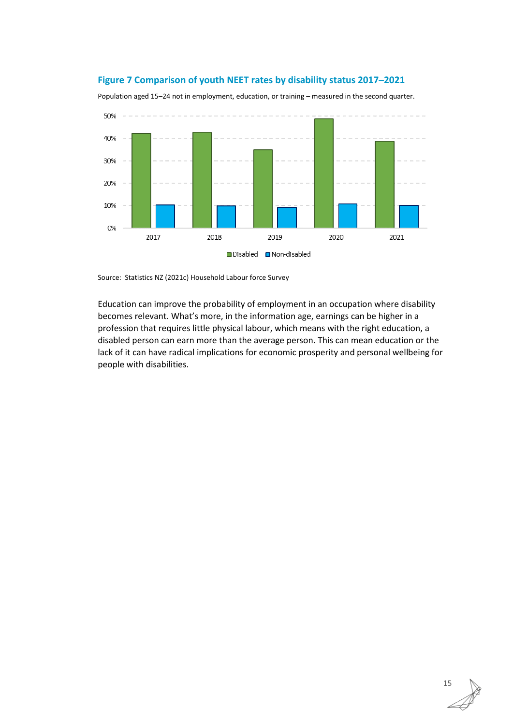### <span id="page-20-0"></span>**Figure 7 Comparison of youth NEET rates by disability status 2017–2021**

Population aged 15–24 not in employment, education, or training – measured in the second quarter.



Source: Statistics NZ (2021c) Household Labour force Survey

Education can improve the probability of employment in an occupation where disability becomes relevant. What's more, in the information age, earnings can be higher in a profession that requires little physical labour, which means with the right education, a disabled person can earn more than the average person. This can mean education or the lack of it can have radical implications for economic prosperity and personal wellbeing for people with disabilities.

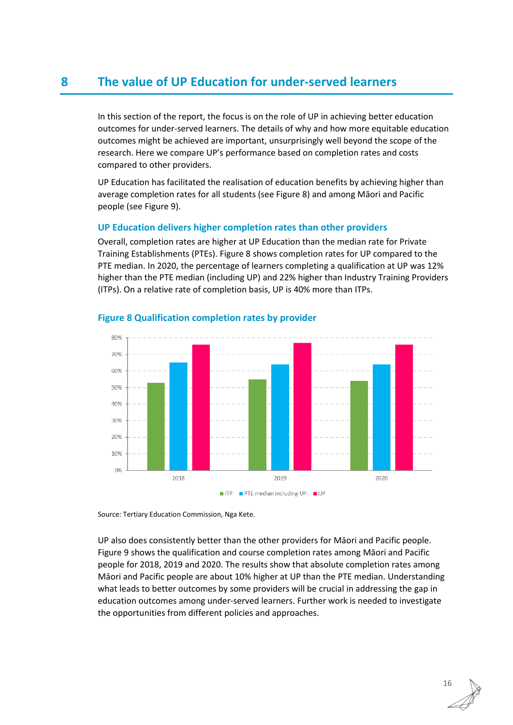# <span id="page-21-0"></span>**8 The value of UP Education for under-served learners**

In this section of the report, the focus is on the role of UP in achieving better education outcomes for under-served learners. The details of why and how more equitable education outcomes might be achieved are important, unsurprisingly well beyond the scope of the research. Here we compare UP's performance based on completion rates and costs compared to other providers.

UP Education has facilitated the realisation of education benefits by achieving higher than average completion rates for all students (se[e Figure](#page-21-1) 8) and among Māori and Pacific people (see [Figure](#page-22-0) 9).

### **UP Education delivers higher completion rates than other providers**

Overall, completion rates are higher at UP Education than the median rate for Private Training Establishments (PTEs). [Figure](#page-21-1) 8 shows completion rates for UP compared to the PTE median. In 2020, the percentage of learners completing a qualification at UP was 12% higher than the PTE median (including UP) and 22% higher than Industry Training Providers (ITPs). On a relative rate of completion basis, UP is 40% more than ITPs.



### <span id="page-21-1"></span>**Figure 8 Qualification completion rates by provider**

Source: Tertiary Education Commission, Nga Kete.

UP also does consistently better than the other providers for Māori and Pacific people. [Figure](#page-22-0) 9 shows the qualification and course completion rates among Māori and Pacific people for 2018, 2019 and 2020. The results show that absolute completion rates among Māori and Pacific people are about 10% higher at UP than the PTE median. Understanding what leads to better outcomes by some providers will be crucial in addressing the gap in education outcomes among under-served learners. Further work is needed to investigate the opportunities from different policies and approaches.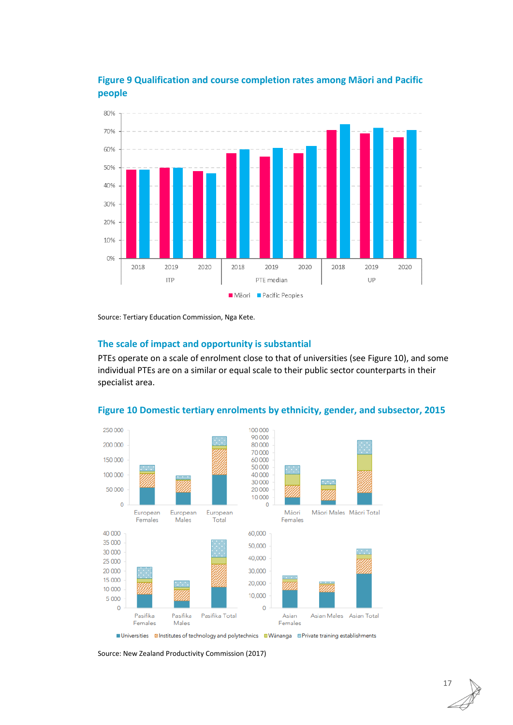

<span id="page-22-0"></span>**Figure 9 Qualification and course completion rates among Māori and Pacific people**

Source: Tertiary Education Commission, Nga Kete.

# **The scale of impact and opportunity is substantial**

PTEs operate on a scale of enrolment close to that of universities (see [Figure](#page-22-1) 10), and some individual PTEs are on a similar or equal scale to their public sector counterparts in their specialist area.



### <span id="page-22-1"></span>**Figure 10 Domestic tertiary enrolments by ethnicity, gender, and subsector, 2015**

■Universities ZIInstitutes of technology and polytechnics ■Wānanga ■Private training establishments

Source: New Zealand Productivity Commission (2017)

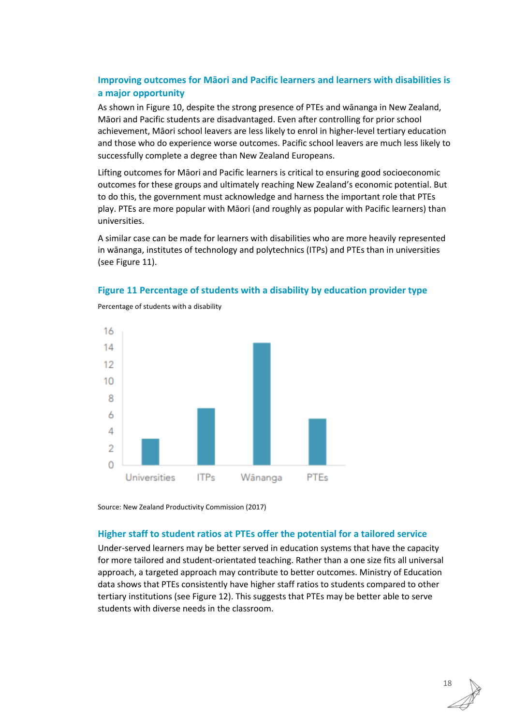# **Improving outcomes for Māori and Pacific learners and learners with disabilities is a major opportunity**

As shown i[n Figure](#page-22-1) 10, despite the strong presence of PTEs and wānanga in New Zealand, Māori and Pacific students are disadvantaged. Even after controlling for prior school achievement, Māori school leavers are less likely to enrol in higher-level tertiary education and those who do experience worse outcomes. Pacific school leavers are much less likely to successfully complete a degree than New Zealand Europeans.

Lifting outcomes for Māori and Pacific learners is critical to ensuring good socioeconomic outcomes for these groups and ultimately reaching New Zealand's economic potential. But to do this, the government must acknowledge and harness the important role that PTEs play. PTEs are more popular with Māori (and roughly as popular with Pacific learners) than universities.

A similar case can be made for learners with disabilities who are more heavily represented in wānanga, institutes of technology and polytechnics (ITPs) and PTEs than in universities (se[e Figure](#page-23-0) 11).

#### <span id="page-23-0"></span>**Figure 11 Percentage of students with a disability by education provider type**



Percentage of students with a disability

Source: New Zealand Productivity Commission (2017)

#### **Higher staff to student ratios at PTEs offer the potential for a tailored service**

Under-served learners may be better served in education systems that have the capacity for more tailored and student-orientated teaching. Rather than a one size fits all universal approach, a targeted approach may contribute to better outcomes. Ministry of Education data shows that PTEs consistently have higher staff ratios to students compared to other tertiary institutions (see [Figure](#page-24-0) 12). This suggests that PTEs may be better able to serve students with diverse needs in the classroom.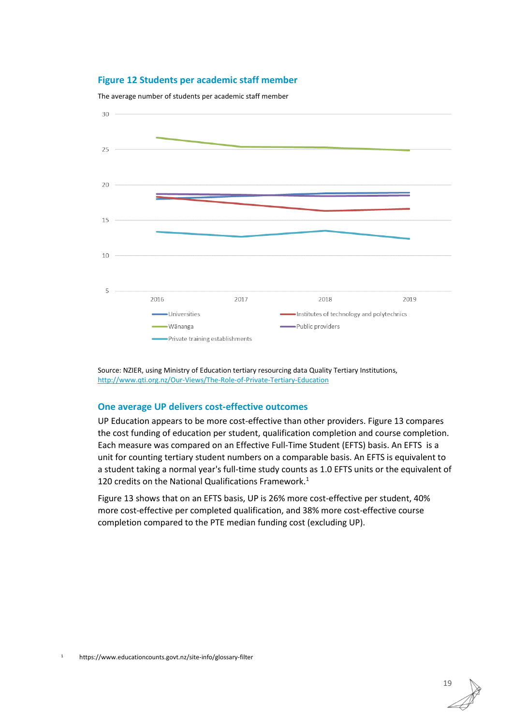#### <span id="page-24-0"></span>**Figure 12 Students per academic staff member**



The average number of students per academic staff member

Source: NZIER, using Ministry of Education tertiary resourcing data Quality Tertiary Institutions, <http://www.qti.org.nz/Our-Views/The-Role-of-Private-Tertiary-Education>

#### **One average UP delivers cost-effective outcomes**

UP Education appears to be more cost-effective than other providers. [Figure](#page-25-1) 13 compares the cost funding of education per student, qualification completion and course completion. Each measure was compared on an Effective Full-Time Student (EFTS) basis. An EFTS is a unit for counting tertiary student numbers on a comparable basis. An EFTS is equivalent to a student taking a normal year's full-time study counts as 1.0 EFTS units or the equivalent of 120 credits on the National Qualifications Framework.<sup>1</sup>

[Figure](#page-25-1) 13 shows that on an EFTS basis, UP is 26% more cost-effective per student, 40% more cost-effective per completed qualification, and 38% more cost-effective course completion compared to the PTE median funding cost (excluding UP).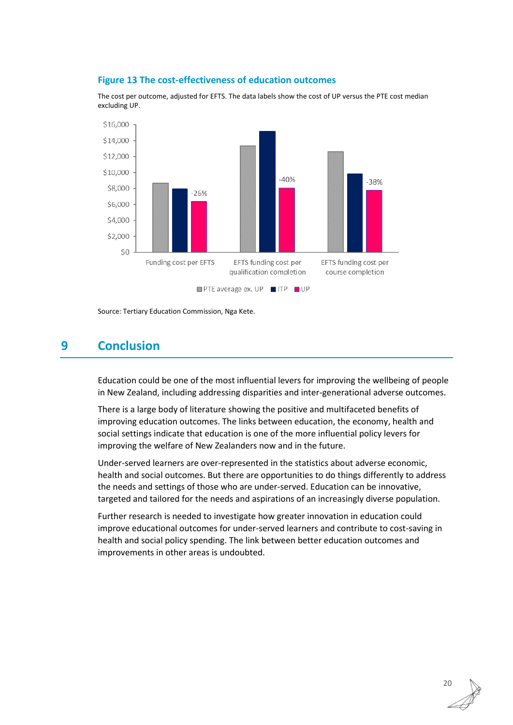<span id="page-25-1"></span>

The cost per outcome, adjusted for EFTS. The data labels show the cost of UP versus the PTE cost median excluding UP.



Source: Tertiary Education Commission, Nga Kete.

# <span id="page-25-0"></span>**9 Conclusion**

Education could be one of the most influential levers for improving the wellbeing of people in New Zealand, including addressing disparities and inter-generational adverse outcomes.

There is a large body of literature showing the positive and multifaceted benefits of improving education outcomes. The links between education, the economy, health and social settings indicate that education is one of the more influential policy levers for improving the welfare of New Zealanders now and in the future.

Under-served learners are over-represented in the statistics about adverse economic, health and social outcomes. But there are opportunities to do things differently to address the needs and settings of those who are under-served. Education can be innovative, targeted and tailored for the needs and aspirations of an increasingly diverse population.

Further research is needed to investigate how greater innovation in education could improve educational outcomes for under-served learners and contribute to cost-saving in health and social policy spending. The link between better education outcomes and improvements in other areas is undoubted.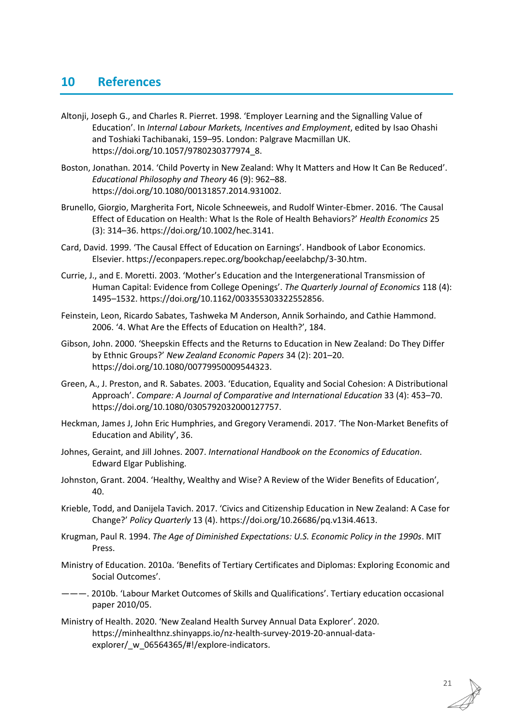# <span id="page-26-0"></span>**10 References**

- Altonji, Joseph G., and Charles R. Pierret. 1998. 'Employer Learning and the Signalling Value of Education'. In *Internal Labour Markets, Incentives and Employment*, edited by Isao Ohashi and Toshiaki Tachibanaki, 159–95. London: Palgrave Macmillan UK. https://doi.org/10.1057/9780230377974\_8.
- Boston, Jonathan. 2014. 'Child Poverty in New Zealand: Why It Matters and How It Can Be Reduced'. *Educational Philosophy and Theory* 46 (9): 962–88. https://doi.org/10.1080/00131857.2014.931002.
- Brunello, Giorgio, Margherita Fort, Nicole Schneeweis, and Rudolf Winter-Ebmer. 2016. 'The Causal Effect of Education on Health: What Is the Role of Health Behaviors?' *Health Economics* 25 (3): 314–36. https://doi.org/10.1002/hec.3141.
- Card, David. 1999. 'The Causal Effect of Education on Earnings'. Handbook of Labor Economics. Elsevier. https://econpapers.repec.org/bookchap/eeelabchp/3-30.htm.
- Currie, J., and E. Moretti. 2003. 'Mother's Education and the Intergenerational Transmission of Human Capital: Evidence from College Openings'. *The Quarterly Journal of Economics* 118 (4): 1495–1532. https://doi.org/10.1162/003355303322552856.
- Feinstein, Leon, Ricardo Sabates, Tashweka M Anderson, Annik Sorhaindo, and Cathie Hammond. 2006. '4. What Are the Effects of Education on Health?', 184.
- Gibson, John. 2000. 'Sheepskin Effects and the Returns to Education in New Zealand: Do They Differ by Ethnic Groups?' *New Zealand Economic Papers* 34 (2): 201–20. https://doi.org/10.1080/00779950009544323.
- Green, A., J. Preston, and R. Sabates. 2003. 'Education, Equality and Social Cohesion: A Distributional Approach'. *Compare: A Journal of Comparative and International Education* 33 (4): 453–70. https://doi.org/10.1080/0305792032000127757.
- Heckman, James J, John Eric Humphries, and Gregory Veramendi. 2017. 'The Non-Market Benefits of Education and Ability', 36.
- Johnes, Geraint, and Jill Johnes. 2007. *International Handbook on the Economics of Education*. Edward Elgar Publishing.
- Johnston, Grant. 2004. 'Healthy, Wealthy and Wise? A Review of the Wider Benefits of Education', 40.
- Krieble, Todd, and Danijela Tavich. 2017. 'Civics and Citizenship Education in New Zealand: A Case for Change?' *Policy Quarterly* 13 (4). https://doi.org/10.26686/pq.v13i4.4613.
- Krugman, Paul R. 1994. *The Age of Diminished Expectations: U.S. Economic Policy in the 1990s*. MIT Press.
- Ministry of Education. 2010a. 'Benefits of Tertiary Certificates and Diplomas: Exploring Economic and Social Outcomes'.
- ———. 2010b. 'Labour Market Outcomes of Skills and Qualifications'. Tertiary education occasional paper 2010/05.
- Ministry of Health. 2020. 'New Zealand Health Survey Annual Data Explorer'. 2020. https://minhealthnz.shinyapps.io/nz-health-survey-2019-20-annual-dataexplorer/ w 06564365/#!/explore-indicators.

21